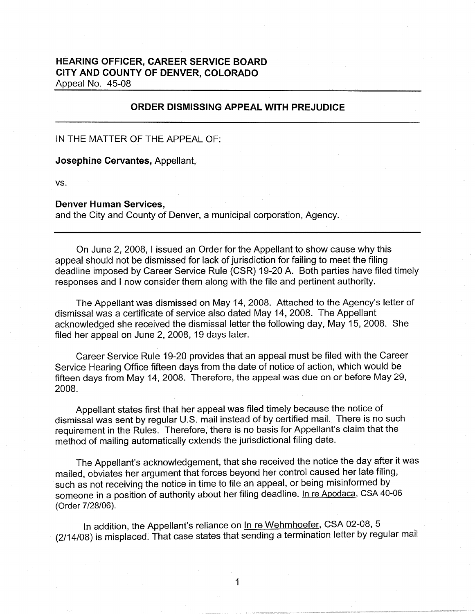## **HEARING OFFICER, CAREER SERVICE BOARD CITY AND COUNTY OF DENVER, COLORADO**  Appeal No. 45-08

**ORDER DISMISSING APPEAL WITH PREJUDICE** 

IN THE MATTER OF THE APPEAL OF:

**Josephine Cervantes,** Appellant,

vs.

## **Denver Human Services,**

and the City and County of Denver, a municipal corporation, Agency.

On June 2, 2008, I issued an Order for the Appellant to show cause why this appeal should not be dismissed for lack of jurisdiction for failing to meet the filing deadline imposed by Career Service Rule (CSR) 19-20 A. Both parties have filed timely responses and I now consider them along with the file and pertinent authority.

The Appellant was dismissed on May 14, 2008. Attached to the Agency's letter of dismissal was a certificate of service also dated May 14, 2008. The Appellant acknowledged she received the dismissal letter the following day, May 15, 2008. She filed her appeal on June 2, 2008, 19 days later.

Career Service Rule 19-20 provides that an appeal must be filed with the Career Service Hearing Office fifteen days from the date of notice of action, which would be fifteen days from May 14, 2008. Therefore, the appeal was due on or before May 29, 2008.

Appellant states first that her appeal was filed timely because the notice of dismissal was sent by regular U.S. mail instead of by certified mail. There is no such requirement in the Rules. Therefore; there is no basis for Appellant's claim that the method of mailing automatically extends the jurisdictional filing date.

The Appellant's acknowledgement, that she received the notice the day after it was mailed, obviates her argument that forces beyond her control caused her late filing, such as not receiving the notice in time to file an appeal, or being misinformed by someone in a position of authority about her filing deadline. In re Apodaca, CSA 40-06 (Order 7/28/06).

In addition, the Appellant's reliance on In re Wehmhoefer, CSA 02-08, 5 (2/14/08) is misplaced. That case states that sending a termination letter by regular mail

1